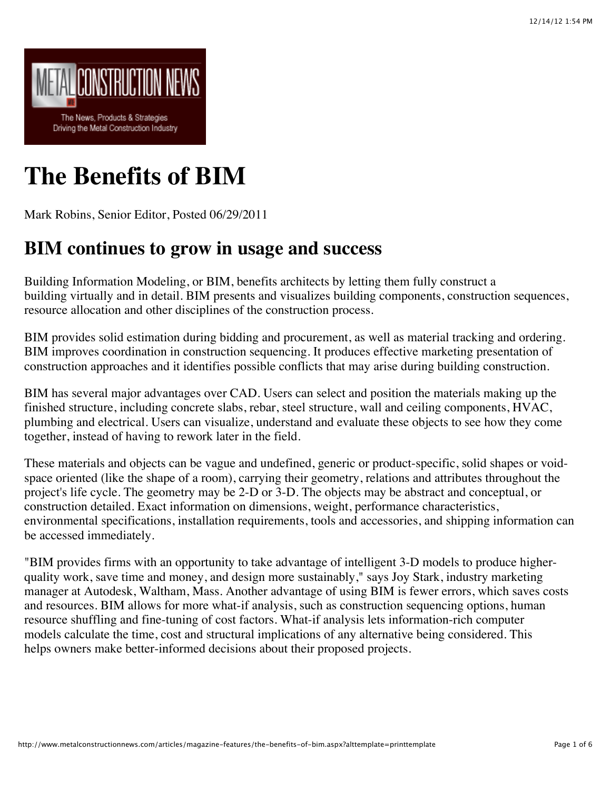

# **The Benefits of BIM**

Mark Robins, Senior Editor, Posted 06/29/2011

#### **BIM continues to grow in usage and success**

Building Information Modeling, or BIM, benefits architects by letting them fully construct a building virtually and in detail. BIM presents and visualizes building components, construction sequences, resource allocation and other disciplines of the construction process.

BIM provides solid estimation during bidding and procurement, as well as material tracking and ordering. BIM improves coordination in construction sequencing. It produces effective marketing presentation of construction approaches and it identifies possible conflicts that may arise during building construction.

BIM has several major advantages over CAD. Users can select and position the materials making up the finished structure, including concrete slabs, rebar, steel structure, wall and ceiling components, HVAC, plumbing and electrical. Users can visualize, understand and evaluate these objects to see how they come together, instead of having to rework later in the field.

These materials and objects can be vague and undefined, generic or product-specific, solid shapes or voidspace oriented (like the shape of a room), carrying their geometry, relations and attributes throughout the project's life cycle. The geometry may be 2-D or 3-D. The objects may be abstract and conceptual, or construction detailed. Exact information on dimensions, weight, performance characteristics, environmental specifications, installation requirements, tools and accessories, and shipping information can be accessed immediately.

"BIM provides firms with an opportunity to take advantage of intelligent 3-D models to produce higherquality work, save time and money, and design more sustainably," says Joy Stark, industry marketing manager at Autodesk, Waltham, Mass. Another advantage of using BIM is fewer errors, which saves costs and resources. BIM allows for more what-if analysis, such as construction sequencing options, human resource shuffling and fine-tuning of cost factors. What-if analysis lets information-rich computer models calculate the time, cost and structural implications of any alternative being considered. This helps owners make better-informed decisions about their proposed projects.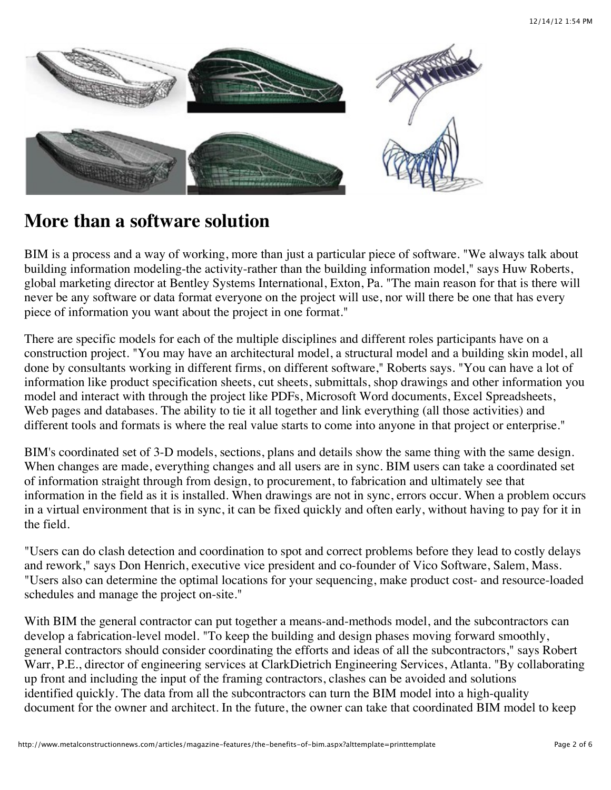

#### **More than a software solution**

BIM is a process and a way of working, more than just a particular piece of software. "We always talk about building information modeling-the activity-rather than the building information model," says Huw Roberts, global marketing director at Bentley Systems International, Exton, Pa. "The main reason for that is there will never be any software or data format everyone on the project will use, nor will there be one that has every piece of information you want about the project in one format."

There are specific models for each of the multiple disciplines and different roles participants have on a construction project. "You may have an architectural model, a structural model and a building skin model, all done by consultants working in different firms, on different software," Roberts says. "You can have a lot of information like product specification sheets, cut sheets, submittals, shop drawings and other information you model and interact with through the project like PDFs, Microsoft Word documents, Excel Spreadsheets, Web pages and databases. The ability to tie it all together and link everything (all those activities) and different tools and formats is where the real value starts to come into anyone in that project or enterprise."

BIM's coordinated set of 3-D models, sections, plans and details show the same thing with the same design. When changes are made, everything changes and all users are in sync. BIM users can take a coordinated set of information straight through from design, to procurement, to fabrication and ultimately see that information in the field as it is installed. When drawings are not in sync, errors occur. When a problem occurs in a virtual environment that is in sync, it can be fixed quickly and often early, without having to pay for it in the field.

"Users can do clash detection and coordination to spot and correct problems before they lead to costly delays and rework," says Don Henrich, executive vice president and co-founder of Vico Software, Salem, Mass. "Users also can determine the optimal locations for your sequencing, make product cost- and resource-loaded schedules and manage the project on-site."

With BIM the general contractor can put together a means-and-methods model, and the subcontractors can develop a fabrication-level model. "To keep the building and design phases moving forward smoothly, general contractors should consider coordinating the efforts and ideas of all the subcontractors," says Robert Warr, P.E., director of engineering services at ClarkDietrich Engineering Services, Atlanta. "By collaborating up front and including the input of the framing contractors, clashes can be avoided and solutions identified quickly. The data from all the subcontractors can turn the BIM model into a high-quality document for the owner and architect. In the future, the owner can take that coordinated BIM model to keep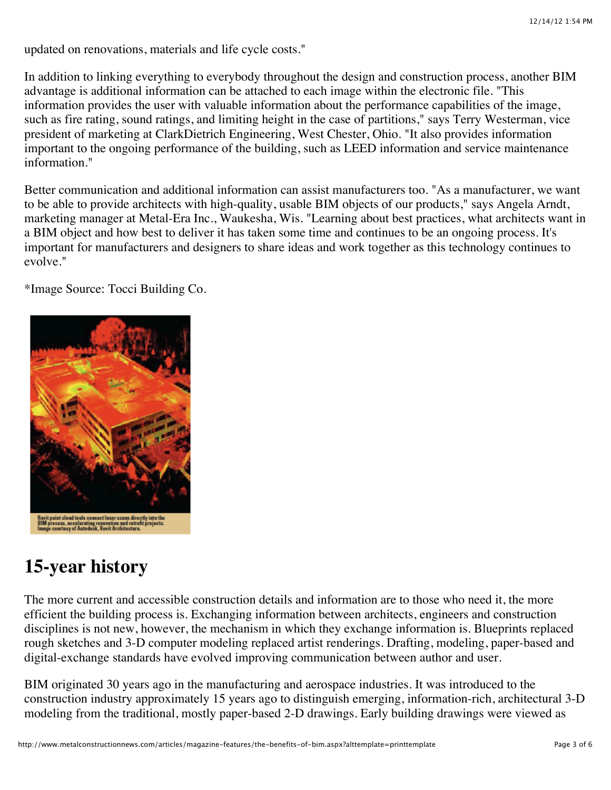updated on renovations, materials and life cycle costs."

In addition to linking everything to everybody throughout the design and construction process, another BIM advantage is additional information can be attached to each image within the electronic file. "This information provides the user with valuable information about the performance capabilities of the image, such as fire rating, sound ratings, and limiting height in the case of partitions," says Terry Westerman, vice president of marketing at ClarkDietrich Engineering, West Chester, Ohio. "It also provides information important to the ongoing performance of the building, such as LEED information and service maintenance information."

Better communication and additional information can assist manufacturers too. "As a manufacturer, we want to be able to provide architects with high-quality, usable BIM objects of our products," says Angela Arndt, marketing manager at Metal-Era Inc., Waukesha, Wis. "Learning about best practices, what architects want in a BIM object and how best to deliver it has taken some time and continues to be an ongoing process. It's important for manufacturers and designers to share ideas and work together as this technology continues to evolve."

\*Image Source: Tocci Building Co.



## **15-year history**

The more current and accessible construction details and information are to those who need it, the more efficient the building process is. Exchanging information between architects, engineers and construction disciplines is not new, however, the mechanism in which they exchange information is. Blueprints replaced rough sketches and 3-D computer modeling replaced artist renderings. Drafting, modeling, paper-based and digital-exchange standards have evolved improving communication between author and user.

BIM originated 30 years ago in the manufacturing and aerospace industries. It was introduced to the construction industry approximately 15 years ago to distinguish emerging, information-rich, architectural 3-D modeling from the traditional, mostly paper-based 2-D drawings. Early building drawings were viewed as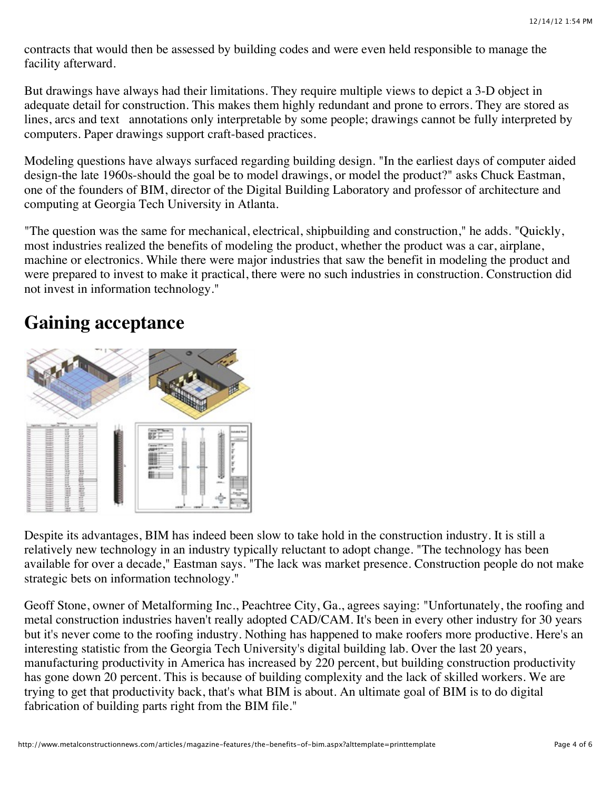contracts that would then be assessed by building codes and were even held responsible to manage the facility afterward.

But drawings have always had their limitations. They require multiple views to depict a 3-D object in adequate detail for construction. This makes them highly redundant and prone to errors. They are stored as lines, arcs and text annotations only interpretable by some people; drawings cannot be fully interpreted by computers. Paper drawings support craft-based practices.

Modeling questions have always surfaced regarding building design. "In the earliest days of computer aided design-the late 1960s-should the goal be to model drawings, or model the product?" asks Chuck Eastman, one of the founders of BIM, director of the Digital Building Laboratory and professor of architecture and computing at Georgia Tech University in Atlanta.

"The question was the same for mechanical, electrical, shipbuilding and construction," he adds. "Quickly, most industries realized the benefits of modeling the product, whether the product was a car, airplane, machine or electronics. While there were major industries that saw the benefit in modeling the product and were prepared to invest to make it practical, there were no such industries in construction. Construction did not invest in information technology."

### **Gaining acceptance**



Despite its advantages, BIM has indeed been slow to take hold in the construction industry. It is still a relatively new technology in an industry typically reluctant to adopt change. "The technology has been available for over a decade," Eastman says. "The lack was market presence. Construction people do not make strategic bets on information technology."

Geoff Stone, owner of Metalforming Inc., Peachtree City, Ga., agrees saying: "Unfortunately, the roofing and metal construction industries haven't really adopted CAD/CAM. It's been in every other industry for 30 years but it's never come to the roofing industry. Nothing has happened to make roofers more productive. Here's an interesting statistic from the Georgia Tech University's digital building lab. Over the last 20 years, manufacturing productivity in America has increased by 220 percent, but building construction productivity has gone down 20 percent. This is because of building complexity and the lack of skilled workers. We are trying to get that productivity back, that's what BIM is about. An ultimate goal of BIM is to do digital fabrication of building parts right from the BIM file."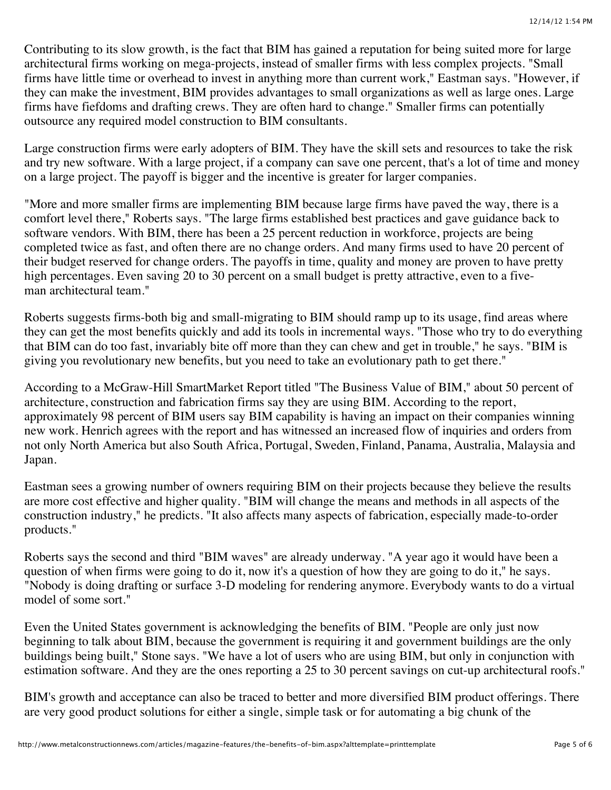Contributing to its slow growth, is the fact that BIM has gained a reputation for being suited more for large architectural firms working on mega-projects, instead of smaller firms with less complex projects. "Small firms have little time or overhead to invest in anything more than current work," Eastman says. "However, if they can make the investment, BIM provides advantages to small organizations as well as large ones. Large firms have fiefdoms and drafting crews. They are often hard to change." Smaller firms can potentially outsource any required model construction to BIM consultants.

Large construction firms were early adopters of BIM. They have the skill sets and resources to take the risk and try new software. With a large project, if a company can save one percent, that's a lot of time and money on a large project. The payoff is bigger and the incentive is greater for larger companies.

"More and more smaller firms are implementing BIM because large firms have paved the way, there is a comfort level there," Roberts says. "The large firms established best practices and gave guidance back to software vendors. With BIM, there has been a 25 percent reduction in workforce, projects are being completed twice as fast, and often there are no change orders. And many firms used to have 20 percent of their budget reserved for change orders. The payoffs in time, quality and money are proven to have pretty high percentages. Even saving 20 to 30 percent on a small budget is pretty attractive, even to a fiveman architectural team."

Roberts suggests firms-both big and small-migrating to BIM should ramp up to its usage, find areas where they can get the most benefits quickly and add its tools in incremental ways. "Those who try to do everything that BIM can do too fast, invariably bite off more than they can chew and get in trouble," he says. "BIM is giving you revolutionary new benefits, but you need to take an evolutionary path to get there."

According to a McGraw-Hill SmartMarket Report titled "The Business Value of BIM," about 50 percent of architecture, construction and fabrication firms say they are using BIM. According to the report, approximately 98 percent of BIM users say BIM capability is having an impact on their companies winning new work. Henrich agrees with the report and has witnessed an increased flow of inquiries and orders from not only North America but also South Africa, Portugal, Sweden, Finland, Panama, Australia, Malaysia and Japan.

Eastman sees a growing number of owners requiring BIM on their projects because they believe the results are more cost effective and higher quality. "BIM will change the means and methods in all aspects of the construction industry," he predicts. "It also affects many aspects of fabrication, especially made-to-order products."

Roberts says the second and third "BIM waves" are already underway. "A year ago it would have been a question of when firms were going to do it, now it's a question of how they are going to do it," he says. "Nobody is doing drafting or surface 3-D modeling for rendering anymore. Everybody wants to do a virtual model of some sort."

Even the United States government is acknowledging the benefits of BIM. "People are only just now beginning to talk about BIM, because the government is requiring it and government buildings are the only buildings being built," Stone says. "We have a lot of users who are using BIM, but only in conjunction with estimation software. And they are the ones reporting a 25 to 30 percent savings on cut-up architectural roofs."

BIM's growth and acceptance can also be traced to better and more diversified BIM product offerings. There are very good product solutions for either a single, simple task or for automating a big chunk of the